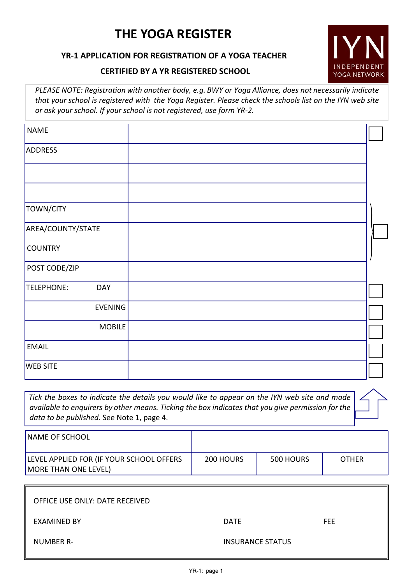# **THE YOGA REGISTER**

# **YR-1 APPLICATION FOR REGISTRATION OF A YOGA TEACHER**

# **CERTIFIED BY A YR REGISTERED SCHOOL**

*PLEASE NOTE: Registra�on with another body, e.g. BWY or Yoga Alliance, does not necessarily indicate that your school is registered with the Yoga Register. Please check the schools list on the IYN web site or ask your school. If your school is not registered, use form YR-2.*

INDEPENDENT YOGA NETWORK

| <b>NAME</b>              |  |
|--------------------------|--|
| <b>ADDRESS</b>           |  |
|                          |  |
|                          |  |
| TOWN/CITY                |  |
| AREA/COUNTY/STATE        |  |
| <b>COUNTRY</b>           |  |
| POST CODE/ZIP            |  |
| TELEPHONE:<br><b>DAY</b> |  |
| EVENING                  |  |
| <b>MOBILE</b>            |  |
| <b>EMAIL</b>             |  |
| <b>WEB SITE</b>          |  |

*Tick the boxes to indicate the details you would like to appear on the IYN web site and made available to enquirers by other means. Ticking the box indicates that you give permission for the data to be published.* See Note 1, page 4.

| <b>NAME OF SCHOOL</b>                                                   |           |           |              |
|-------------------------------------------------------------------------|-----------|-----------|--------------|
| LEVEL APPLIED FOR (IF YOUR SCHOOL OFFERS<br><b>MORE THAN ONE LEVEL)</b> | 200 HOURS | 500 HOURS | <b>OTHER</b> |

| OFFICE USE ONLY: DATE RECEIVED |                         |      |
|--------------------------------|-------------------------|------|
| <b>EXAMINED BY</b>             | <b>DATE</b>             | FEE. |
| NUMBER R-                      | <b>INSURANCE STATUS</b> |      |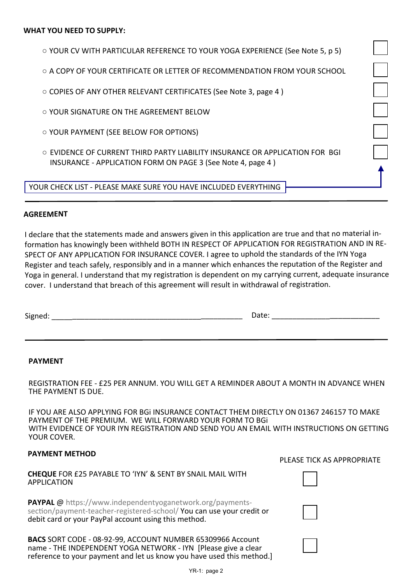| $\circ$ YOUR CV WITH PARTICULAR REFERENCE TO YOUR YOGA EXPERIENCE (See Note 5, p 5) |
|-------------------------------------------------------------------------------------|
|-------------------------------------------------------------------------------------|

- A COPY OF YOUR CERTIFICATE OR LETTER OF RECOMMENDATION FROM YOUR SCHOOL
- COPIES OF ANY OTHER RELEVANT CERTIFICATES (See Note 3, page 4 )
- YOUR SIGNATURE ON THE AGREEMENT BELOW
- YOUR PAYMENT (SEE BELOW FOR OPTIONS)
- EVIDENCE OF CURRENT THIRD PARTY LIABILITY INSURANCE OR APPLICATION FOR BGI INSURANCE - APPLICATION FORM ON PAGE 3 (See Note 4, page 4 )

YOUR CHECK LIST - PLEASE MAKE SURE YOU HAVE INCLUDED EVERYTHING

#### **AGREEMENT**

I declare that the statements made and answers given in this application are true and that no material information has knowingly been withheld BOTH IN RESPECT OF APPLICATION FOR REGISTRATION AND IN RE-SPECT OF ANY APPLICATION FOR INSURANCE COVER. <sup>I</sup> agree to uphold the standards of the IYN Yoga Register and teach safely, responsibly and in a manner which enhances the reputation of the Register and Yoga in general. I understand that my registration is dependent on my carrying current, adequate insurance cover. <sup>I</sup> understand that breach of this agreement will result in withdrawal of registra�on.

#### **PAYMENT**

REGISTRATION FEE - £25 PER ANNUM. YOU WILL GET A REMINDER ABOUT A MONTH IN ADVANCE WHEN THE PAYMENT IS DUE.

IF YOU ARE ALSO APPLYING FOR BGi INSURANCE CONTACT THEM DIRECTLY ON 01367 246157 TO MAKE PAYMENT OF THE PREMIUM. WE WILL FORWARD YOUR FORM TO BGi WITH EVIDENCE OF YOUR IYN REGISTRATION AND SEND YOU AN EMAIL WITH INSTRUCTIONS ON GETTING YOUR COVER.

### **PAYMENT METHOD**

### **CHEQUE** FOR £25 PAYABLE TO 'IYN' & SENT BY SNAIL MAIL WITH APPLICATION

**PAYPAL** @ https://www.independentyoganetwork.org/paymentssection/payment-teacher-registered-school/ You can use your credit or debit card or your PayPal account using this method.

**BACS** SORT CODE - 08-92-99, ACCOUNT NUMBER 65309966 Account name - THE INDEPENDENT YOGA NETWORK - IYN [Please give a clear reference to your payment and let us know you have used this method.]

#### PLEASE TICK AS APPROPRIATE



|  | $YR-1: page 2$ |
|--|----------------|
|--|----------------|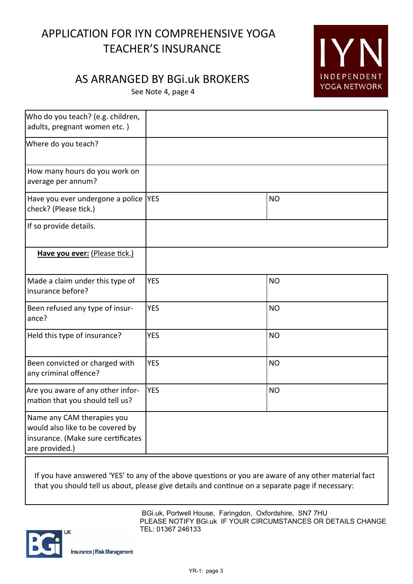# APPLICATION FOR IYN COMPREHENSIVE YOGA TEACHER'S INSURANCE

# **IYN** INDEPENDENT YOGA NETWORK

# AS ARRANGED BY BGi.uk BROKERS

See Note 4, page 4

| Who do you teach? (e.g. children,<br>adults, pregnant women etc.)                                                      |            |           |
|------------------------------------------------------------------------------------------------------------------------|------------|-----------|
| Where do you teach?                                                                                                    |            |           |
| How many hours do you work on<br>average per annum?                                                                    |            |           |
| Have you ever undergone a police  YES<br>check? (Please tick.)                                                         |            | <b>NO</b> |
| If so provide details.                                                                                                 |            |           |
| Have you ever: (Please tick.)                                                                                          |            |           |
| Made a claim under this type of<br>insurance before?                                                                   | <b>YES</b> | <b>NO</b> |
| Been refused any type of insur-<br>ance?                                                                               | <b>YES</b> | <b>NO</b> |
| Held this type of insurance?                                                                                           | <b>YES</b> | <b>NO</b> |
| Been convicted or charged with<br>any criminal offence?                                                                | <b>YES</b> | <b>NO</b> |
| Are you aware of any other infor-<br>mation that you should tell us?                                                   | <b>YES</b> | <b>NO</b> |
| Name any CAM therapies you<br>would also like to be covered by<br>insurance. (Make sure certificates<br>are provided.) |            |           |

If you have answered 'YES' to any of the above questions or you are aware of any other material fact that you should tell us about, please give details and continue on a separate page if necessary:

> BGi.uk, Portwell House, Faringdon, Oxfordshire, SN7 7HU PLEASE NOTIFY BGI.uk IF YOUR CIRCUMSTANCES OR DETAILS CHANGE TEL: 01367 246133

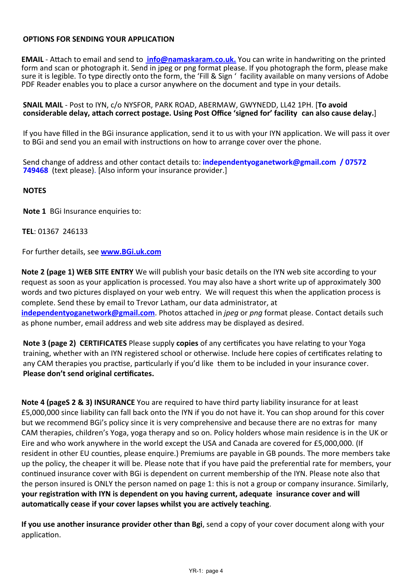# **OPTIONS FOR SENDING YOUR APPLICATION**

**EMAIL** - Attach to email and send to **info@namaskaram.co.uk.** You can write in handwriting on the printed form and scan or photograph it. Send in jpeg or png format please. If you photograph the form, please make sure it is legible. To type directly onto the form, the 'Fill & Sign ' facility available on many versions of Adobe PDF Reader enables you to place a cursor anywhere on the document and type in your details.

**SNAIL MAIL** - Post to IYN, c/o NYSFOR, PARK ROAD, ABERMAW, GWYNEDD, LL42 1PH. [**To avoid** considerable delay, attach correct postage. Using Post Office 'signed for' facility can also cause delay.]

If you have filled in the BGi insurance application, send it to us with your IYN application. We will pass it over to BGi and send you an email with instructions on how to arrange cover over the phone.

Send change of address and other contact details to: **independentyoganetwork@gmail.com / 07572 749468** (text please). [Also inform your insurance provider.]

### **NOTES**

**Note 1** BGi Insurance enquiries to:

### **TEL**: 01367 246133

For further details, see **www.BGi.uk.com**

**Note 2 (page 1) WEB SITE ENTRY** We will publish your basic details on the IYN web site according to your request as soon as your application is processed. You may also have a short write up of approximately 300 words and two pictures displayed on your web entry. We will request this when the application process is complete. Send these by email to Trevor Latham, our data administrator, at **independentyoganetwork@gmail.com**. Photos attached in *jpeg* or *png* format please. Contact details such as phone number, email address and web site address may be displayed as desired.

**Note 3 (page 2) CERTIFICATES** Please supply **copies** of any certificates you have relating to your Yoga training, whether with an IYN registered school or otherwise. Include here copies of certificates relating to any CAM therapies you practise, particularly if you'd like them to be included in your insurance cover. **Please don't send original cer�ficates.**

**Note 4 (pageS 2 & 3) INSURANCE** You are required to have third party liability insurance for at least £5,000,000 since liability can fall back onto the IYN if you do not have it. You can shop around for this cover but we recommend BGi's policy since it is very comprehensive and because there are no extras for many CAM therapies, children's Yoga, yoga therapy and so on. Policy holders whose main residence is in the UK or Eire and who work anywhere in the world except the USA and Canada are covered for £5,000,000. (If resident in other EU counties, please enquire.) Premiums are payable in GB pounds. The more members take up the policy, the cheaper it will be. Please note that if you have paid the preferen�al rate for members, your continued insurance cover with BGi is dependent on current membership of the IYN. Please note also that the person insured is ONLY the person named on page 1: this is not a group or company insurance. Similarly, **your registration with IYN is dependent on you having current, adequate insurance cover and will** automatically cease if your cover lapses whilst you are actively teaching.

**If you use another insurance provider other than Bgi**, send a copy of your cover document along with your application.